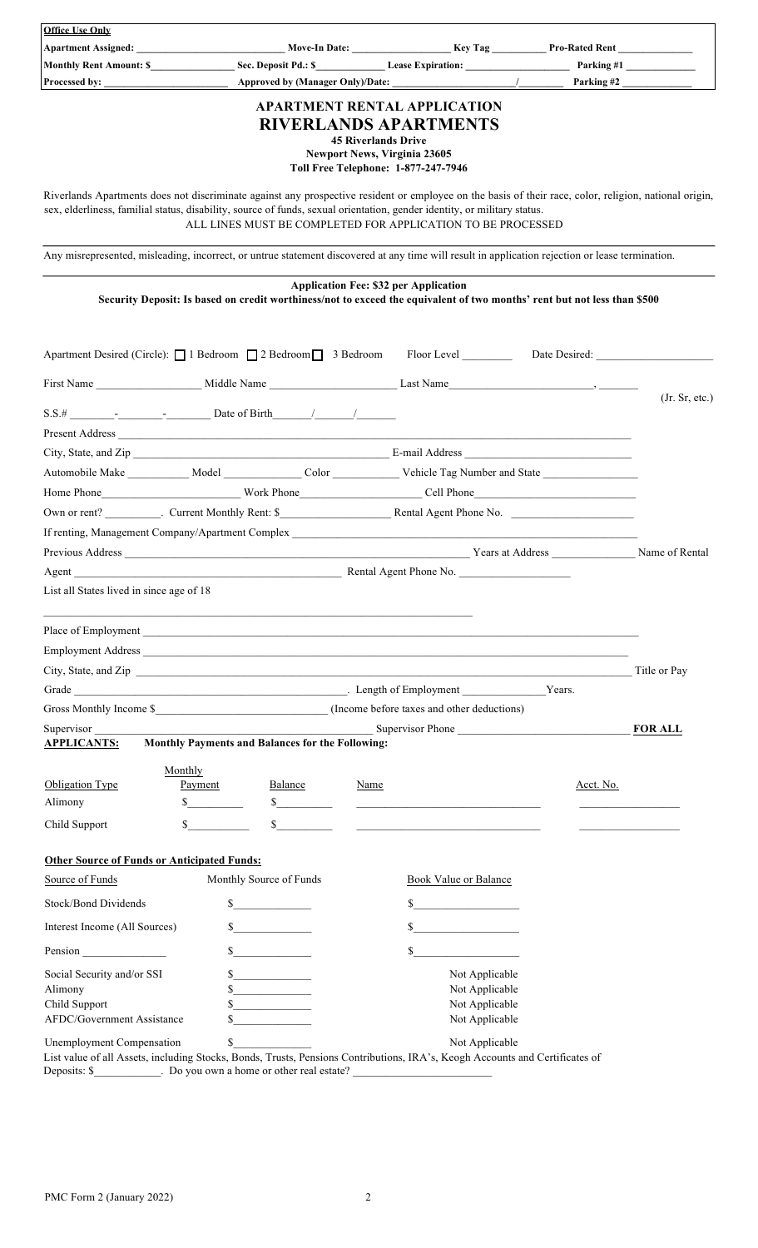| <b>Office Use Only</b>                                                                                                                                                                                                                                                             |                                                                                                                          |                                                                   |                       |           |                |
|------------------------------------------------------------------------------------------------------------------------------------------------------------------------------------------------------------------------------------------------------------------------------------|--------------------------------------------------------------------------------------------------------------------------|-------------------------------------------------------------------|-----------------------|-----------|----------------|
|                                                                                                                                                                                                                                                                                    |                                                                                                                          |                                                                   |                       |           |                |
| Monthly Rent Amount: \$                                                                                                                                                                                                                                                            |                                                                                                                          |                                                                   |                       |           |                |
|                                                                                                                                                                                                                                                                                    |                                                                                                                          | <b>APARTMENT RENTAL APPLICATION</b>                               |                       |           | Parking #2     |
|                                                                                                                                                                                                                                                                                    |                                                                                                                          | <b>RIVERLANDS APARTMENTS</b>                                      |                       |           |                |
|                                                                                                                                                                                                                                                                                    |                                                                                                                          | <b>45 Riverlands Drive</b><br><b>Newport News, Virginia 23605</b> |                       |           |                |
|                                                                                                                                                                                                                                                                                    |                                                                                                                          | <b>Toll Free Telephone: 1-877-247-7946</b>                        |                       |           |                |
| Riverlands Apartments does not discriminate against any prospective resident or employee on the basis of their race, color, religion, national origin,<br>sex, elderliness, familial status, disability, source of funds, sexual orientation, gender identity, or military status. | ALL LINES MUST BE COMPLETED FOR APPLICATION TO BE PROCESSED                                                              |                                                                   |                       |           |                |
| Any misrepresented, misleading, incorrect, or untrue statement discovered at any time will result in application rejection or lease termination.                                                                                                                                   |                                                                                                                          |                                                                   |                       |           |                |
|                                                                                                                                                                                                                                                                                    | Security Deposit: Is based on credit worthiness/not to exceed the equivalent of two months' rent but not less than \$500 | <b>Application Fee: \$32 per Application</b>                      |                       |           |                |
| Apartment Desired (Circle): 1 Bedroom 2 Bedroom 3 Bedroom Floor Level Date Desired:                                                                                                                                                                                                |                                                                                                                          |                                                                   |                       |           |                |
|                                                                                                                                                                                                                                                                                    |                                                                                                                          |                                                                   |                       |           |                |
|                                                                                                                                                                                                                                                                                    |                                                                                                                          |                                                                   |                       |           | (Jr. Sr, etc.) |
|                                                                                                                                                                                                                                                                                    |                                                                                                                          |                                                                   |                       |           |                |
| Present Address New York Changes and the Changes of the Changes of the Changes of the Changes of the Changes of the Changes of the Changes of the Changes of the Changes of the Changes of the Changes of the Changes of the C                                                     |                                                                                                                          |                                                                   |                       |           |                |
| Automobile Make ___________ Model ______________ Color ______________ Vehicle Tag Number and State ___________                                                                                                                                                                     |                                                                                                                          |                                                                   |                       |           |                |
|                                                                                                                                                                                                                                                                                    |                                                                                                                          |                                                                   |                       |           |                |
|                                                                                                                                                                                                                                                                                    |                                                                                                                          |                                                                   |                       |           |                |
|                                                                                                                                                                                                                                                                                    |                                                                                                                          |                                                                   |                       |           |                |
| Previous Address Name of Rental Name of Rental Name of Rental Name of Rental Name of Rental Name of Rental Name of Rental Name of Rental Name of Rental Name of Rental Name of Rental Name of Rental Name of Rental Name of Re                                                     |                                                                                                                          |                                                                   |                       |           |                |
| Agent                                                                                                                                                                                                                                                                              |                                                                                                                          | Rental Agent Phone No.                                            |                       |           |                |
| List all States lived in since age of 18                                                                                                                                                                                                                                           |                                                                                                                          |                                                                   |                       |           |                |
|                                                                                                                                                                                                                                                                                    | and the control of the control of the control of the control of the control of the control of the control of the         |                                                                   |                       |           |                |
| Place of Employment <u>Containers</u>                                                                                                                                                                                                                                              |                                                                                                                          |                                                                   |                       |           |                |
|                                                                                                                                                                                                                                                                                    |                                                                                                                          |                                                                   |                       |           |                |
| City, State, and Zip                                                                                                                                                                                                                                                               |                                                                                                                          |                                                                   |                       |           | Title or Pay   |
|                                                                                                                                                                                                                                                                                    |                                                                                                                          |                                                                   |                       |           |                |
|                                                                                                                                                                                                                                                                                    |                                                                                                                          |                                                                   |                       |           |                |
| Supervisor                                                                                                                                                                                                                                                                         | Supervisor Phone                                                                                                         |                                                                   |                       |           | <b>FOR ALL</b> |
| <b>APPLICANTS:</b>                                                                                                                                                                                                                                                                 | Monthly Payments and Balances for the Following:                                                                         |                                                                   |                       |           |                |
| Monthly                                                                                                                                                                                                                                                                            |                                                                                                                          |                                                                   |                       |           |                |
| Payment<br><b>Obligation Type</b>                                                                                                                                                                                                                                                  | Balance                                                                                                                  | Name                                                              |                       | Acct. No. |                |
| Alimony                                                                                                                                                                                                                                                                            | $\mathbf S$<br>$\frac{\text{S}}{\text{S}}$                                                                               |                                                                   |                       |           |                |
| Child Support                                                                                                                                                                                                                                                                      | $\mathbb{S}$<br>$\sim$                                                                                                   | <u> 1980 - Johann Barbara, martin da basar</u>                    |                       |           |                |
| <b>Other Source of Funds or Anticipated Funds:</b>                                                                                                                                                                                                                                 |                                                                                                                          |                                                                   |                       |           |                |
| Source of Funds                                                                                                                                                                                                                                                                    | Monthly Source of Funds                                                                                                  |                                                                   | Book Value or Balance |           |                |
| Stock/Bond Dividends                                                                                                                                                                                                                                                               |                                                                                                                          |                                                                   | $\sim$                |           |                |
| Interest Income (All Sources)                                                                                                                                                                                                                                                      | $\sim$                                                                                                                   |                                                                   | $\sim$                |           |                |
| Pension                                                                                                                                                                                                                                                                            | $\sim$                                                                                                                   |                                                                   | $\sim$                |           |                |
| Social Security and/or SSI                                                                                                                                                                                                                                                         | $\frac{\text{S}}{\text{S}}$                                                                                              |                                                                   | Not Applicable        |           |                |
| Alimony                                                                                                                                                                                                                                                                            | $\frac{\sqrt{2}}{2}$                                                                                                     |                                                                   | Not Applicable        |           |                |
| Child Support                                                                                                                                                                                                                                                                      |                                                                                                                          |                                                                   | Not Applicable        |           |                |
| AFDC/Government Assistance                                                                                                                                                                                                                                                         |                                                                                                                          |                                                                   | Not Applicable        |           |                |
| Unemployment Compensation<br>List value of all Assets, including Stocks, Bonds, Trusts, Pensions Contributions, IRA's, Keogh Accounts and Certificates of                                                                                                                          | \$                                                                                                                       |                                                                   | Not Applicable        |           |                |